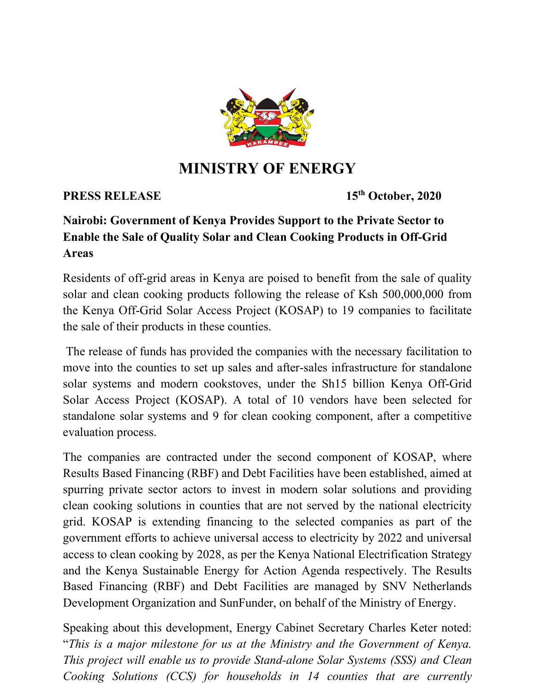

## **MINISTRY OF ENERGY**

## **PRESS RELEASE 15<sup>th</sup> October, 2020**

## **Nairobi: Government of Kenya Provides Support to the Private Sector to Enable the Sale of Quality Solar and Clean Cooking Products in Off-Grid Areas**

Residents of off-grid areas in Kenya are poised to benefit from the sale of quality solar and clean cooking products following the release of Ksh 500,000,000 from the Kenya Off-Grid Solar Access Project (KOSAP) to 19 companies to facilitate the sale of their products in these counties.

The release of funds has provided the companies with the necessary facilitation to move into the counties to set up sales and after-sales infrastructure for standalone solar systems and modern cookstoves, under the Sh15 billion Kenya Off-Grid Solar Access Project (KOSAP). A total of 10 vendors have been selected for standalone solar systems and 9 for clean cooking component, after a competitive evaluation process.

The companies are contracted under the second component of KOSAP, where Results Based Financing (RBF) and Debt Facilities have been established, aimed at spurring private sector actors to invest in modern solar solutions and providing clean cooking solutions in counties that are not served by the national electricity grid. KOSAP is extending financing to the selected companies as part of the government efforts to achieve universal access to electricity by 2022 and universal access to clean cooking by 2028, as per the Kenya National Electrification Strategy and the Kenya Sustainable Energy for Action Agenda respectively. The Results Based Financing (RBF) and Debt Facilities are managed by SNV Netherlands Development Organization and SunFunder, on behalf of the Ministry of Energy.

Speaking about this development, Energy Cabinet Secretary Charles Keter noted: "*This is a major milestone for us at the Ministry and the Government of Kenya. This project will enable us to provide Stand-alone Solar Systems (SSS) and Clean Cooking Solutions (CCS) for households in 14 counties that are currently*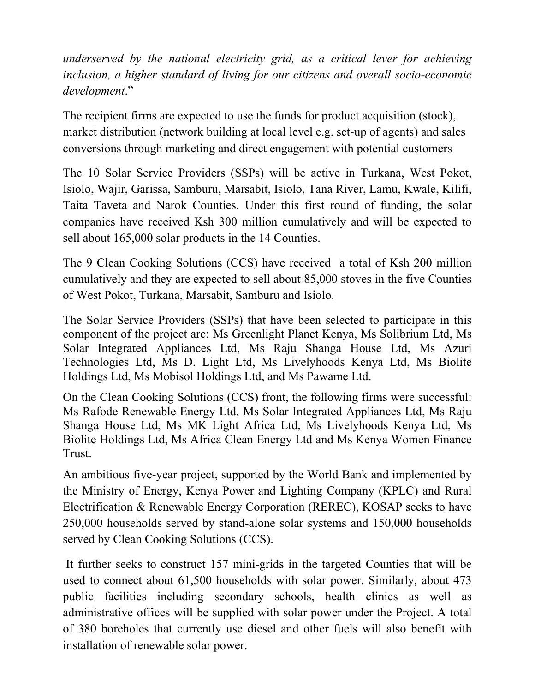*underserved by the national electricity grid, as a critical lever for achieving inclusion, a higher standard of living for our citizens and overall socio-economic development*."

The recipient firms are expected to use the funds for product acquisition (stock), market distribution (network building at local level e.g. set-up of agents) and sales conversions through marketing and direct engagement with potential customers

The 10 Solar Service Providers (SSPs) will be active in Turkana, West Pokot, Isiolo, Wajir, Garissa, Samburu, Marsabit, Isiolo, Tana River, Lamu, Kwale, Kilifi, Taita Taveta and Narok Counties. Under this first round of funding, the solar companies have received Ksh 300 million cumulatively and will be expected to sell about 165,000 solar products in the 14 Counties.

The 9 Clean Cooking Solutions (CCS) have received a total of Ksh 200 million cumulatively and they are expected to sell about 85,000 stoves in the five Counties of West Pokot, Turkana, Marsabit, Samburu and Isiolo.

The Solar Service Providers (SSPs) that have been selected to participate in this component of the project are: Ms Greenlight Planet Kenya, Ms Solibrium Ltd, Ms Solar Integrated Appliances Ltd, Ms Raju Shanga House Ltd, Ms Azuri Technologies Ltd, Ms D. Light Ltd, Ms Livelyhoods Kenya Ltd, Ms Biolite Holdings Ltd, Ms Mobisol Holdings Ltd, and Ms Pawame Ltd.

On the Clean Cooking Solutions (CCS) front, the following firms were successful: Ms Rafode Renewable Energy Ltd, Ms Solar Integrated Appliances Ltd, Ms Raju Shanga House Ltd, Ms MK Light Africa Ltd, Ms Livelyhoods Kenya Ltd, Ms Biolite Holdings Ltd, Ms Africa Clean Energy Ltd and Ms Kenya Women Finance Trust.

An ambitious five-year project, supported by the World Bank and implemented by the Ministry of Energy, Kenya Power and Lighting Company (KPLC) and Rural Electrification & Renewable Energy Corporation (REREC), KOSAP seeks to have 250,000 households served by stand-alone solar systems and 150,000 households served by Clean Cooking Solutions (CCS).

It further seeks to construct 157 mini-grids in the targeted Counties that will be used to connect about 61,500 households with solar power. Similarly, about 473 public facilities including secondary schools, health clinics as well as administrative offices will be supplied with solar power under the Project. A total of 380 boreholes that currently use diesel and other fuels will also benefit with installation of renewable solar power.